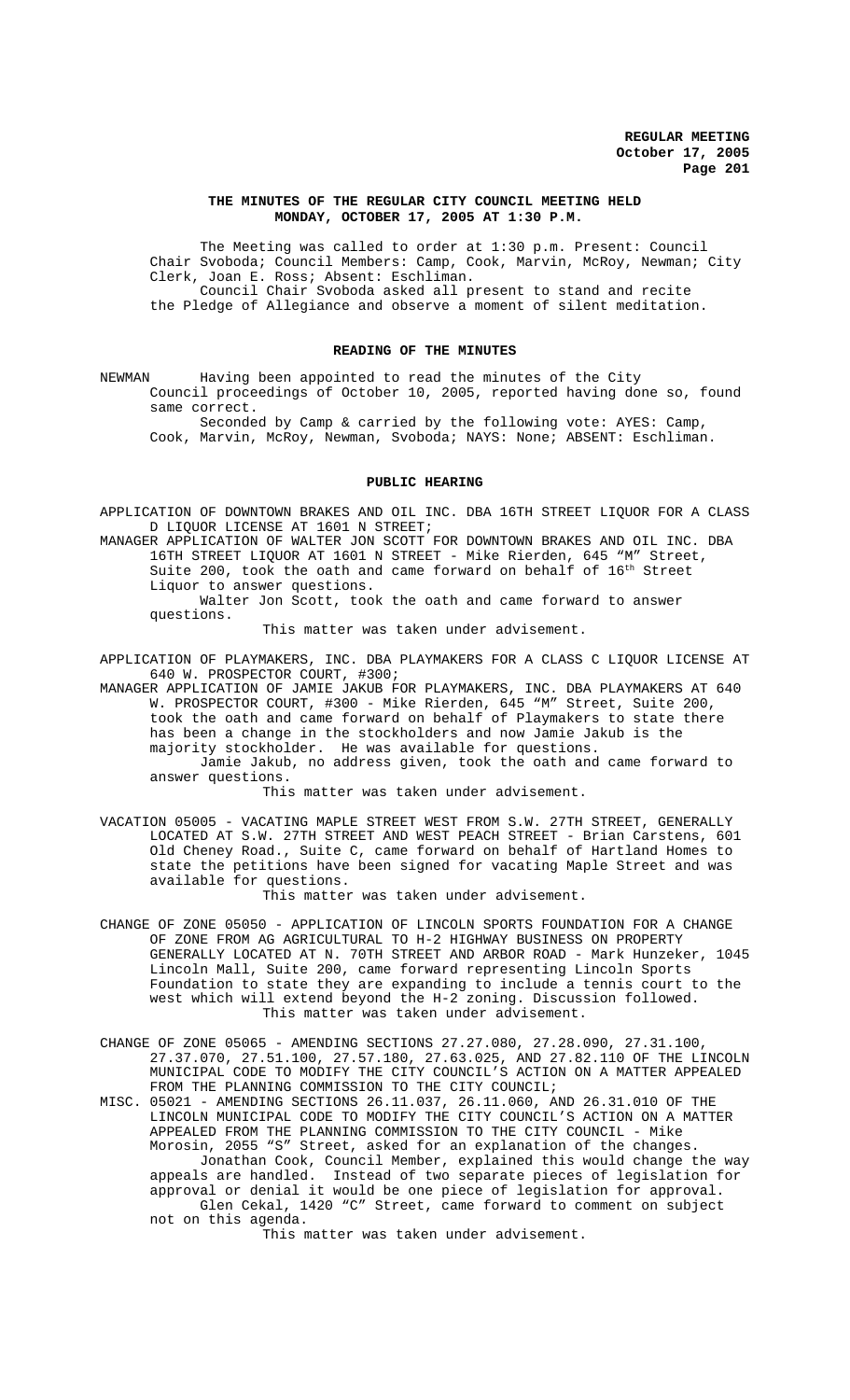## **THE MINUTES OF THE REGULAR CITY COUNCIL MEETING HELD MONDAY, OCTOBER 17, 2005 AT 1:30 P.M.**

The Meeting was called to order at 1:30 p.m. Present: Council Chair Svoboda; Council Members: Camp, Cook, Marvin, McRoy, Newman; City Clerk, Joan E. Ross; Absent: Eschliman. Council Chair Svoboda asked all present to stand and recite the Pledge of Allegiance and observe a moment of silent meditation.

### **READING OF THE MINUTES**

NEWMAN Having been appointed to read the minutes of the City Council proceedings of October 10, 2005, reported having done so, found same correct.

Seconded by Camp & carried by the following vote: AYES: Camp, Cook, Marvin, McRoy, Newman, Svoboda; NAYS: None; ABSENT: Eschliman.

# **PUBLIC HEARING**

APPLICATION OF DOWNTOWN BRAKES AND OIL INC. DBA 16TH STREET LIQUOR FOR A CLASS D LIQUOR LICENSE AT 1601 N STREET;

MANAGER APPLICATION OF WALTER JON SCOTT FOR DOWNTOWN BRAKES AND OIL INC. DBA 16TH STREET LIQUOR AT 1601 N STREET - Mike Rierden, 645 "M" Street, Suite 200, took the oath and came forward on behalf of  $16<sup>th</sup>$  Street Liquor to answer questions.

Walter Jon Scott, took the oath and came forward to answer questions.

This matter was taken under advisement.

APPLICATION OF PLAYMAKERS, INC. DBA PLAYMAKERS FOR A CLASS C LIQUOR LICENSE AT 640 W. PROSPECTOR COURT, #300;

MANAGER APPLICATION OF JAMIE JAKUB FOR PLAYMAKERS, INC. DBA PLAYMAKERS AT 640 W. PROSPECTOR COURT, #300 - Mike Rierden, 645 "M" Street, Suite 200, took the oath and came forward on behalf of Playmakers to state there has been a change in the stockholders and now Jamie Jakub is the majority stockholder. He was available for questions. Jamie Jakub, no address given, took the oath and came forward to answer questions.

This matter was taken under advisement.

VACATION 05005 - VACATING MAPLE STREET WEST FROM S.W. 27TH STREET, GENERALLY LOCATED AT S.W. 27TH STREET AND WEST PEACH STREET - Brian Carstens, 601 Old Cheney Road., Suite C, came forward on behalf of Hartland Homes to state the petitions have been signed for vacating Maple Street and was available for questions.

This matter was taken under advisement.

- CHANGE OF ZONE 05050 APPLICATION OF LINCOLN SPORTS FOUNDATION FOR A CHANGE OF ZONE FROM AG AGRICULTURAL TO H-2 HIGHWAY BUSINESS ON PROPERTY GENERALLY LOCATED AT N. 70TH STREET AND ARBOR ROAD - Mark Hunzeker, 1045 Lincoln Mall, Suite 200, came forward representing Lincoln Sports Foundation to state they are expanding to include a tennis court to the west which will extend beyond the H-2 zoning. Discussion followed. This matter was taken under advisement.
- CHANGE OF ZONE 05065 AMENDING SECTIONS 27.27.080, 27.28.090, 27.31.100, 27.37.070, 27.51.100, 27.57.180, 27.63.025, AND 27.82.110 OF THE LINCOLN MUNICIPAL CODE TO MODIFY THE CITY COUNCIL'S ACTION ON A MATTER APPEALED FROM THE PLANNING COMMISSION TO THE CITY COUNCIL;
- MISC. 05021 AMENDING SECTIONS 26.11.037, 26.11.060, AND 26.31.010 OF THE LINCOLN MUNICIPAL CODE TO MODIFY THE CITY COUNCIL'S ACTION ON A MATTER APPEALED FROM THE PLANNING COMMISSION TO THE CITY COUNCIL - Mike Morosin, 2055 "S" Street, asked for an explanation of the changes. Jonathan Cook, Council Member, explained this would change the way appeals are handled. Instead of two separate pieces of legislation for approval or denial it would be one piece of legislation for approval. Glen Cekal, 1420 "C" Street, came forward to comment on subject not on this agenda.

This matter was taken under advisement.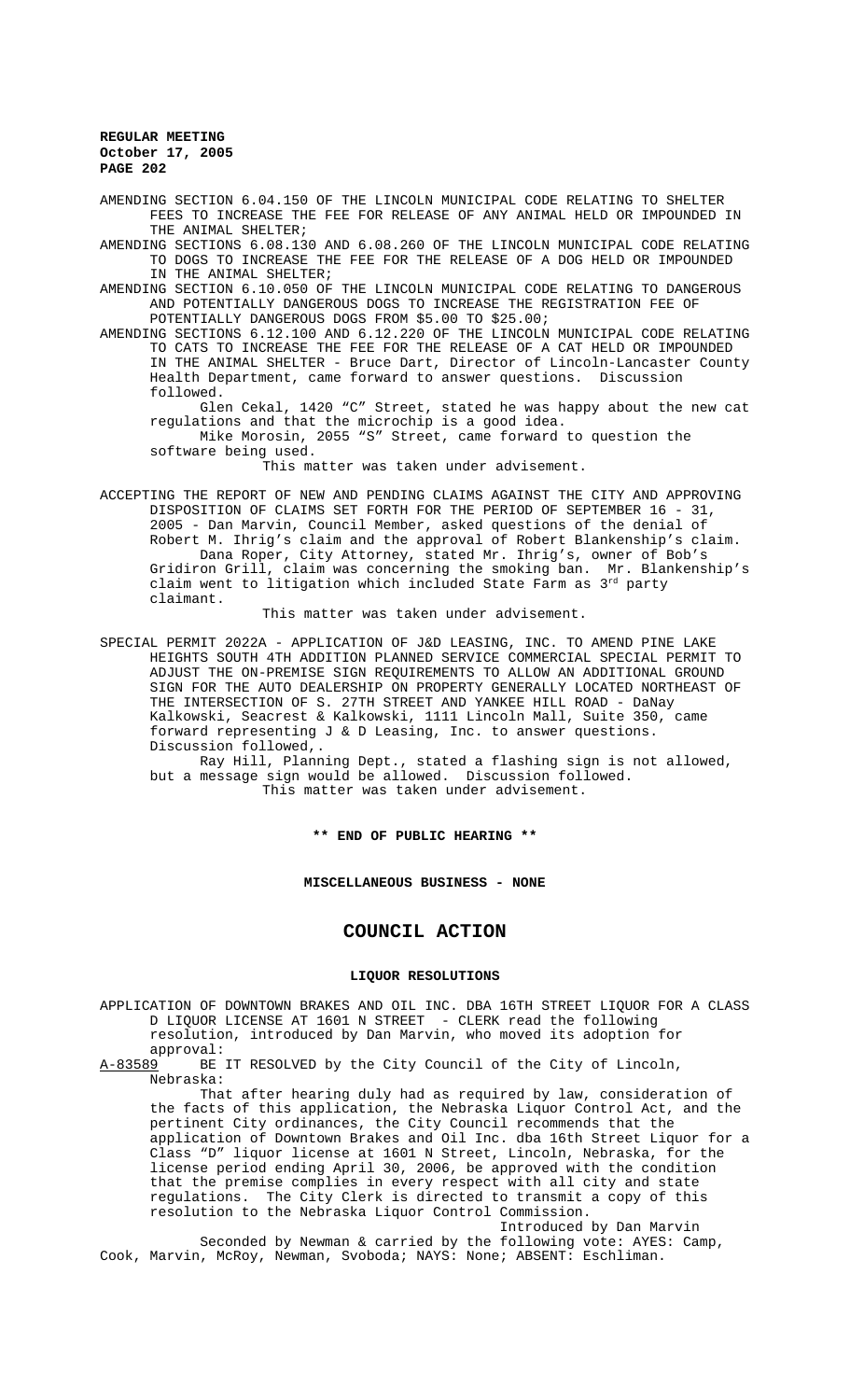AMENDING SECTION 6.04.150 OF THE LINCOLN MUNICIPAL CODE RELATING TO SHELTER FEES TO INCREASE THE FEE FOR RELEASE OF ANY ANIMAL HELD OR IMPOUNDED IN THE ANIMAL SHELTER;

AMENDING SECTIONS 6.08.130 AND 6.08.260 OF THE LINCOLN MUNICIPAL CODE RELATING TO DOGS TO INCREASE THE FEE FOR THE RELEASE OF A DOG HELD OR IMPOUNDED IN THE ANIMAL SHELTER;

AMENDING SECTION 6.10.050 OF THE LINCOLN MUNICIPAL CODE RELATING TO DANGEROUS AND POTENTIALLY DANGEROUS DOGS TO INCREASE THE REGISTRATION FEE OF POTENTIALLY DANGEROUS DOGS FROM \$5.00 TO \$25.00;

AMENDING SECTIONS 6.12.100 AND 6.12.220 OF THE LINCOLN MUNICIPAL CODE RELATING TO CATS TO INCREASE THE FEE FOR THE RELEASE OF A CAT HELD OR IMPOUNDED IN THE ANIMAL SHELTER - Bruce Dart, Director of Lincoln-Lancaster County Health Department, came forward to answer questions. Discussion followed.

Glen Cekal, 1420 "C" Street, stated he was happy about the new cat regulations and that the microchip is a good idea.

Mike Morosin, 2055 "S" Street, came forward to question the software being used.

This matter was taken under advisement.

ACCEPTING THE REPORT OF NEW AND PENDING CLAIMS AGAINST THE CITY AND APPROVING DISPOSITION OF CLAIMS SET FORTH FOR THE PERIOD OF SEPTEMBER 16 - 31, 2005 - Dan Marvin, Council Member, asked questions of the denial of Robert M. Ihrig's claim and the approval of Robert Blankenship's claim. Dana Roper, City Attorney, stated Mr. Ihrig's, owner of Bob's Gridiron Grill, claim was concerning the smoking ban. Mr. Blankenship's claim went to litigation which included State Farm as 3rd party claimant.

This matter was taken under advisement.

SPECIAL PERMIT 2022A - APPLICATION OF J&D LEASING, INC. TO AMEND PINE LAKE HEIGHTS SOUTH 4TH ADDITION PLANNED SERVICE COMMERCIAL SPECIAL PERMIT TO ADJUST THE ON-PREMISE SIGN REQUIREMENTS TO ALLOW AN ADDITIONAL GROUND SIGN FOR THE AUTO DEALERSHIP ON PROPERTY GENERALLY LOCATED NORTHEAST OF THE INTERSECTION OF S. 27TH STREET AND YANKEE HILL ROAD - DaNay Kalkowski, Seacrest & Kalkowski, 1111 Lincoln Mall, Suite 350, came forward representing J & D Leasing, Inc. to answer questions. Discussion followed,.

Ray Hill, Planning Dept., stated a flashing sign is not allowed, but a message sign would be allowed. Discussion followed. This matter was taken under advisement.

**\*\* END OF PUBLIC HEARING \*\***

### **MISCELLANEOUS BUSINESS - NONE**

# **COUNCIL ACTION**

# **LIQUOR RESOLUTIONS**

APPLICATION OF DOWNTOWN BRAKES AND OIL INC. DBA 16TH STREET LIQUOR FOR A CLASS D LIQUOR LICENSE AT 1601 N STREET - CLERK read the following resolution, introduced by Dan Marvin, who moved its adoption for

approval:<br><u>A-83589</u> BE BE IT RESOLVED by the City Council of the City of Lincoln, Nebraska:

That after hearing duly had as required by law, consideration of the facts of this application, the Nebraska Liquor Control Act, and the pertinent City ordinances, the City Council recommends that the application of Downtown Brakes and Oil Inc. dba 16th Street Liquor for a Class "D" liquor license at 1601 N Street, Lincoln, Nebraska, for the license period ending April 30, 2006, be approved with the condition that the premise complies in every respect with all city and state regulations. The City Clerk is directed to transmit a copy of this resolution to the Nebraska Liquor Control Commission.

Introduced by Dan Marvin Seconded by Newman & carried by the following vote: AYES: Camp, Cook, Marvin, McRoy, Newman, Svoboda; NAYS: None; ABSENT: Eschliman.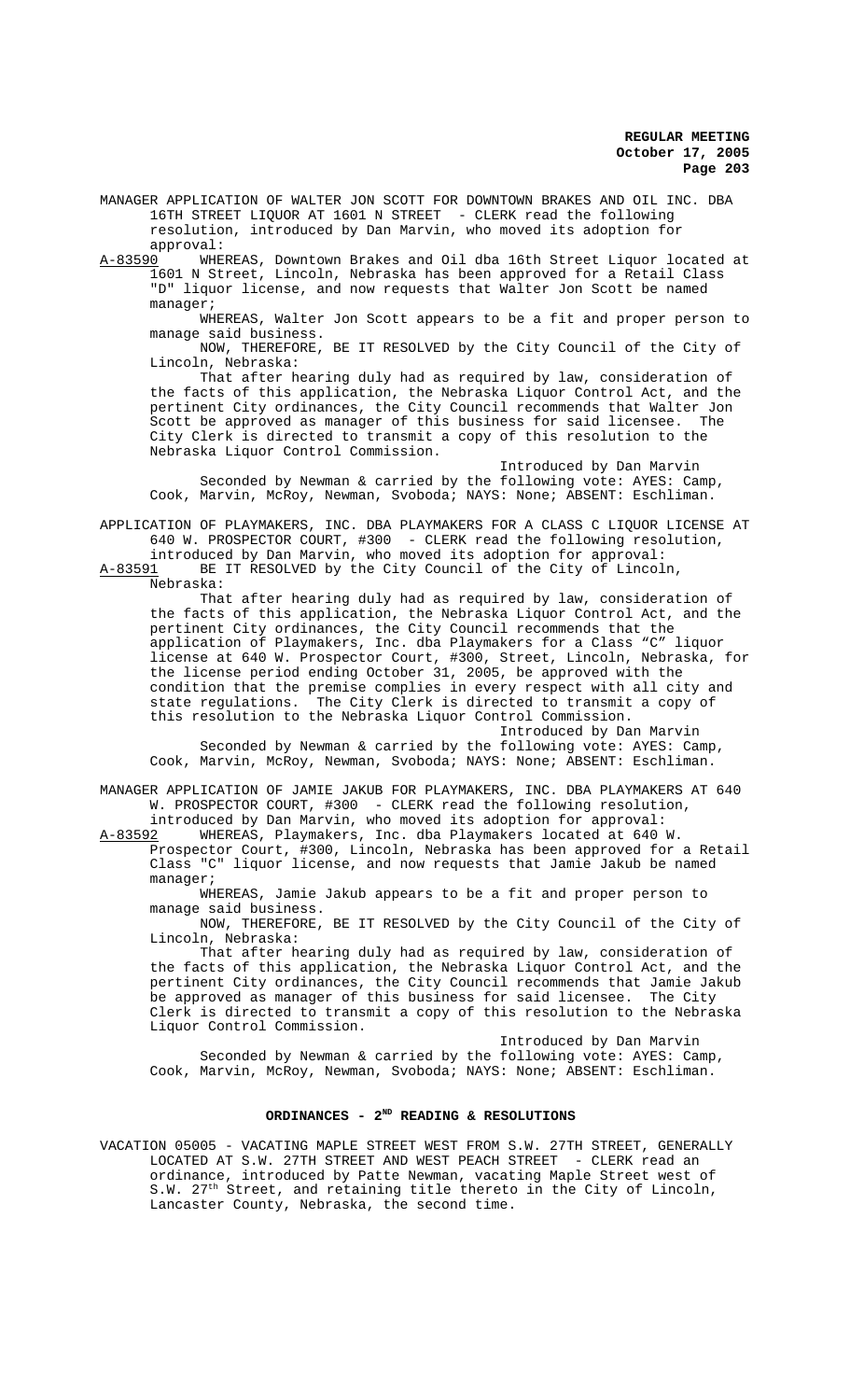MANAGER APPLICATION OF WALTER JON SCOTT FOR DOWNTOWN BRAKES AND OIL INC. DBA 16TH STREET LIQUOR AT 1601 N STREET - CLERK read the following resolution, introduced by Dan Marvin, who moved its adoption for approval:

A-83590 WHEREAS, Downtown Brakes and Oil dba 16th Street Liquor located at 1601 N Street, Lincoln, Nebraska has been approved for a Retail Class "D" liquor license, and now requests that Walter Jon Scott be named manager;

WHEREAS, Walter Jon Scott appears to be a fit and proper person to manage said business.

NOW, THEREFORE, BE IT RESOLVED by the City Council of the City of Lincoln, Nebraska:

That after hearing duly had as required by law, consideration of the facts of this application, the Nebraska Liquor Control Act, and the pertinent City ordinances, the City Council recommends that Walter Jon Scott be approved as manager of this business for said licensee. The City Clerk is directed to transmit a copy of this resolution to the Nebraska Liquor Control Commission.

Introduced by Dan Marvin Seconded by Newman & carried by the following vote: AYES: Camp, Cook, Marvin, McRoy, Newman, Svoboda; NAYS: None; ABSENT: Eschliman.

APPLICATION OF PLAYMAKERS, INC. DBA PLAYMAKERS FOR A CLASS C LIQUOR LICENSE AT 640 W. PROSPECTOR COURT, #300 - CLERK read the following resolution,

introduced by Dan Marvin, who moved its adoption for approval:<br>A-83591 BE IT RESOLVED by the City Council of the City of Lincol BE IT RESOLVED by the City Council of the City of Lincoln, Nebraska:

That after hearing duly had as required by law, consideration of the facts of this application, the Nebraska Liquor Control Act, and the pertinent City ordinances, the City Council recommends that the application of Playmakers, Inc. dba Playmakers for a Class "C" liquor license at 640 W. Prospector Court, #300, Street, Lincoln, Nebraska, for the license period ending October 31, 2005, be approved with the condition that the premise complies in every respect with all city and state regulations. The City Clerk is directed to transmit a copy of this resolution to the Nebraska Liquor Control Commission.

Introduced by Dan Marvin Seconded by Newman & carried by the following vote: AYES: Camp, Cook, Marvin, McRoy, Newman, Svoboda; NAYS: None; ABSENT: Eschliman.

MANAGER APPLICATION OF JAMIE JAKUB FOR PLAYMAKERS, INC. DBA PLAYMAKERS AT 640 W. PROSPECTOR COURT, #300 - CLERK read the following resolution,

introduced by Dan Marvin, who moved its adoption for approval:<br>A-83592 WHEREAS, Playmakers, Inc. dba Playmakers located at 640 A-83592 WHEREAS, Playmakers, Inc. dba Playmakers located at 640 W.

Prospector Court, #300, Lincoln, Nebraska has been approved for a Retail Class "C" liquor license, and now requests that Jamie Jakub be named manager;

WHEREAS, Jamie Jakub appears to be a fit and proper person to manage said business.

NOW, THEREFORE, BE IT RESOLVED by the City Council of the City of Lincoln, Nebraska:

That after hearing duly had as required by law, consideration of the facts of this application, the Nebraska Liquor Control Act, and the pertinent City ordinances, the City Council recommends that Jamie Jakub be approved as manager of this business for said licensee. The City Clerk is directed to transmit a copy of this resolution to the Nebraska Liquor Control Commission.

Introduced by Dan Marvin Seconded by Newman & carried by the following vote: AYES: Camp, Cook, Marvin, McRoy, Newman, Svoboda; NAYS: None; ABSENT: Eschliman.

## **ORDINANCES - 2ND READING & RESOLUTIONS**

VACATION 05005 - VACATING MAPLE STREET WEST FROM S.W. 27TH STREET, GENERALLY LOCATED AT S.W. 27TH STREET AND WEST PEACH STREET - CLERK read an ordinance, introduced by Patte Newman, vacating Maple Street west of S.W. 27<sup>th</sup> Street, and retaining title thereto in the City of Lincoln, Lancaster County, Nebraska, the second time.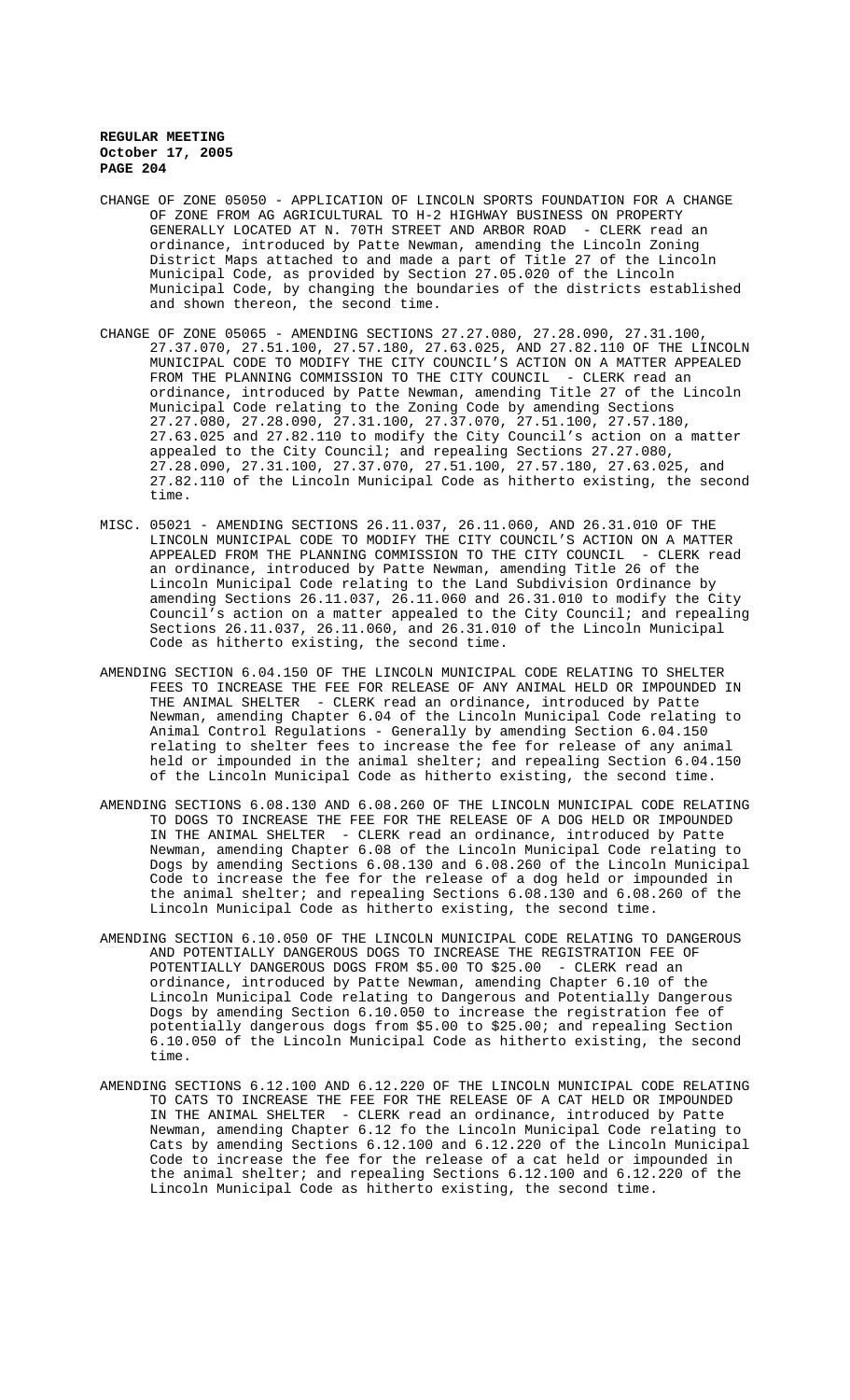- CHANGE OF ZONE 05050 APPLICATION OF LINCOLN SPORTS FOUNDATION FOR A CHANGE OF ZONE FROM AG AGRICULTURAL TO H-2 HIGHWAY BUSINESS ON PROPERTY GENERALLY LOCATED AT N. 70TH STREET AND ARBOR ROAD - CLERK read an ordinance, introduced by Patte Newman, amending the Lincoln Zoning District Maps attached to and made a part of Title 27 of the Lincoln Municipal Code, as provided by Section 27.05.020 of the Lincoln Municipal Code, by changing the boundaries of the districts established and shown thereon, the second time.
- CHANGE OF ZONE 05065 AMENDING SECTIONS 27.27.080, 27.28.090, 27.31.100, 27.37.070, 27.51.100, 27.57.180, 27.63.025, AND 27.82.110 OF THE LINCOLN MUNICIPAL CODE TO MODIFY THE CITY COUNCIL'S ACTION ON A MATTER APPEALED FROM THE PLANNING COMMISSION TO THE CITY COUNCIL - CLERK read an ordinance, introduced by Patte Newman, amending Title 27 of the Lincoln Municipal Code relating to the Zoning Code by amending Sections 27.27.080, 27.28.090, 27.31.100, 27.37.070, 27.51.100, 27.57.180, 27.63.025 and 27.82.110 to modify the City Council's action on a matter appealed to the City Council; and repealing Sections 27.27.080, 27.28.090, 27.31.100, 27.37.070, 27.51.100, 27.57.180, 27.63.025, and 27.82.110 of the Lincoln Municipal Code as hitherto existing, the second time.
- MISC. 05021 AMENDING SECTIONS 26.11.037, 26.11.060, AND 26.31.010 OF THE LINCOLN MUNICIPAL CODE TO MODIFY THE CITY COUNCIL'S ACTION ON A MATTER APPEALED FROM THE PLANNING COMMISSION TO THE CITY COUNCIL - CLERK read an ordinance, introduced by Patte Newman, amending Title 26 of the Lincoln Municipal Code relating to the Land Subdivision Ordinance by amending Sections 26.11.037, 26.11.060 and 26.31.010 to modify the City Council's action on a matter appealed to the City Council; and repealing Sections 26.11.037, 26.11.060, and 26.31.010 of the Lincoln Municipal Code as hitherto existing, the second time.
- AMENDING SECTION 6.04.150 OF THE LINCOLN MUNICIPAL CODE RELATING TO SHELTER FEES TO INCREASE THE FEE FOR RELEASE OF ANY ANIMAL HELD OR IMPOUNDED IN THE ANIMAL SHELTER - CLERK read an ordinance, introduced by Patte Newman, amending Chapter 6.04 of the Lincoln Municipal Code relating to Animal Control Regulations - Generally by amending Section 6.04.150 relating to shelter fees to increase the fee for release of any animal held or impounded in the animal shelter; and repealing Section 6.04.150 of the Lincoln Municipal Code as hitherto existing, the second time.
- AMENDING SECTIONS 6.08.130 AND 6.08.260 OF THE LINCOLN MUNICIPAL CODE RELATING TO DOGS TO INCREASE THE FEE FOR THE RELEASE OF A DOG HELD OR IMPOUNDED IN THE ANIMAL SHELTER - CLERK read an ordinance, introduced by Patte Newman, amending Chapter 6.08 of the Lincoln Municipal Code relating to Dogs by amending Sections 6.08.130 and 6.08.260 of the Lincoln Municipal Code to increase the fee for the release of a dog held or impounded in the animal shelter; and repealing Sections 6.08.130 and 6.08.260 of the Lincoln Municipal Code as hitherto existing, the second time.
- AMENDING SECTION 6.10.050 OF THE LINCOLN MUNICIPAL CODE RELATING TO DANGEROUS AND POTENTIALLY DANGEROUS DOGS TO INCREASE THE REGISTRATION FEE OF POTENTIALLY DANGEROUS DOGS FROM \$5.00 TO \$25.00 - CLERK read an ordinance, introduced by Patte Newman, amending Chapter 6.10 of the Lincoln Municipal Code relating to Dangerous and Potentially Dangerous Dogs by amending Section 6.10.050 to increase the registration fee of potentially dangerous dogs from \$5.00 to \$25.00; and repealing Section 6.10.050 of the Lincoln Municipal Code as hitherto existing, the second time.
- AMENDING SECTIONS 6.12.100 AND 6.12.220 OF THE LINCOLN MUNICIPAL CODE RELATING TO CATS TO INCREASE THE FEE FOR THE RELEASE OF A CAT HELD OR IMPOUNDED IN THE ANIMAL SHELTER - CLERK read an ordinance, introduced by Patte Newman, amending Chapter 6.12 fo the Lincoln Municipal Code relating to Cats by amending Sections 6.12.100 and 6.12.220 of the Lincoln Municipal Code to increase the fee for the release of a cat held or impounded in the animal shelter; and repealing Sections 6.12.100 and 6.12.220 of the Lincoln Municipal Code as hitherto existing, the second time.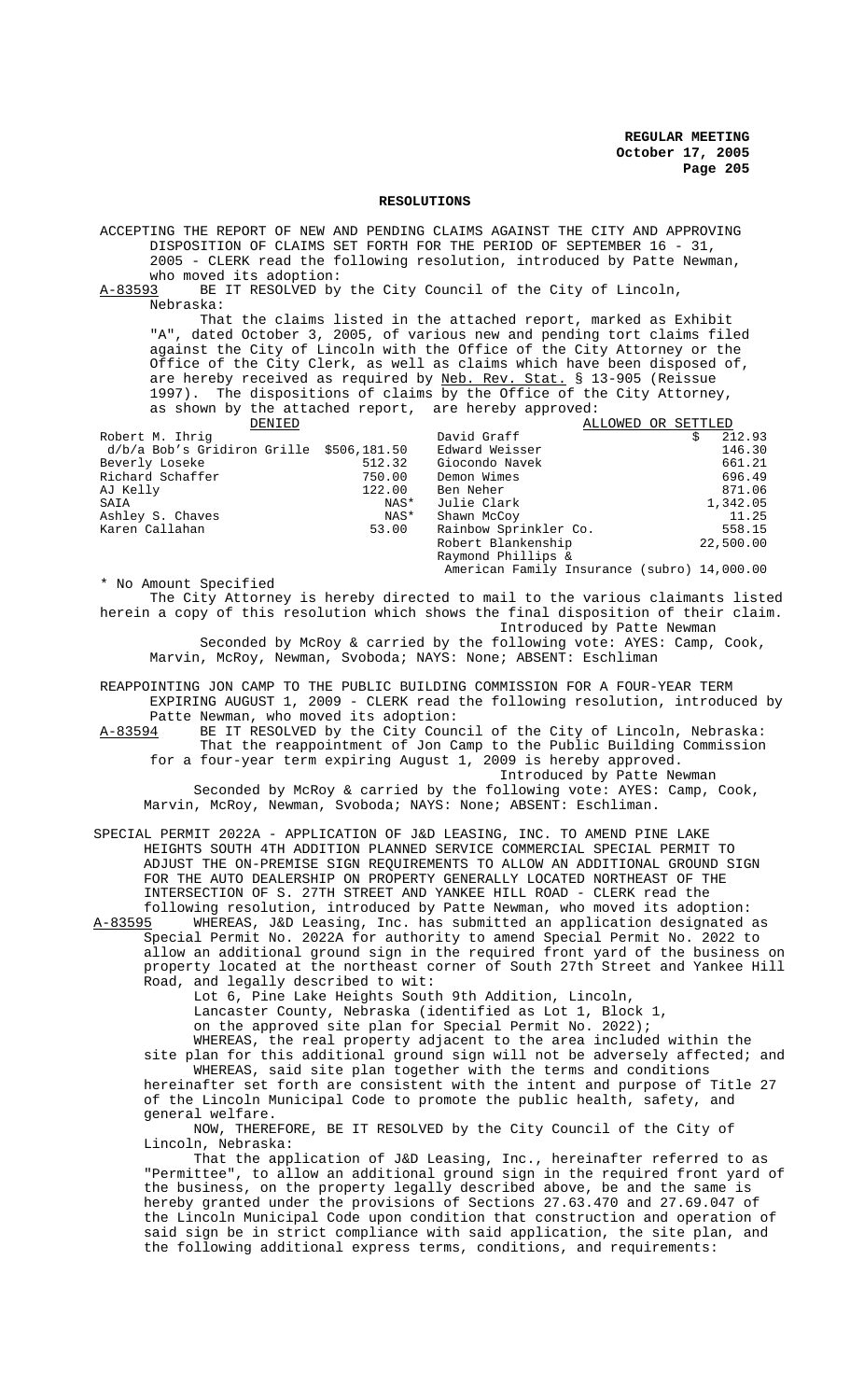#### **RESOLUTIONS**

ACCEPTING THE REPORT OF NEW AND PENDING CLAIMS AGAINST THE CITY AND APPROVING DISPOSITION OF CLAIMS SET FORTH FOR THE PERIOD OF SEPTEMBER 16 - 31, 2005 - CLERK read the following resolution, introduced by Patte Newman, who moved its adoption:<br>A-83593 BE IT RESOLVED by BE IT RESOLVED by the City Council of the City of Lincoln, Nebraska: That the claims listed in the attached report, marked as Exhibit "A", dated October 3, 2005, of various new and pending tort claims filed against the City of Lincoln with the Office of the City Attorney or the Office of the City Clerk, as well as claims which have been disposed of, are hereby received as required by Neb. Rev. Stat. § 13-905 (Reissue 1997). The dispositions of claims by the Office of the City Attorney, as shown by the attached report, are hereby approved: DENIED DAVid Graff ALLOWED OR SETTLED<br>David Graff Settlem States 212.93 Robert M. Ihrig David Graff \$ 212.93 d/b/a Bob's Gridiron Grille \$506,181.50 Beverly Loseke 512.32 Giocondo Navek 661.21 Richard Schaffer 750.00 Demon Wimes 696.49 AJ Kelly 122.00 Ben Neher 871.06 SAIA NAS\* Julie Clark 1,342.05 Ashley S. Chaves NAS\* Shawn McCoy 11.25 53.00 Rainbow Sprinkler Co. 558.15<br>Robert Blankenship 32.500.00 Robert Blankenship Raymond Phillips & American Family Insurance (subro) 14,000.00 \* No Amount Specified The City Attorney is hereby directed to mail to the various claimants listed

herein a copy of this resolution which shows the final disposition of their claim. Introduced by Patte Newman Seconded by McRoy & carried by the following vote: AYES: Camp, Cook, Marvin, McRoy, Newman, Svoboda; NAYS: None; ABSENT: Eschliman

REAPPOINTING JON CAMP TO THE PUBLIC BUILDING COMMISSION FOR A FOUR-YEAR TERM EXPIRING AUGUST 1, 2009 - CLERK read the following resolution, introduced by Patte Newman, who moved its adoption:<br>A-83594 BE IT RESOLVED by the City Coun

BE IT RESOLVED by the City Council of the City of Lincoln, Nebraska: That the reappointment of Jon Camp to the Public Building Commission for a four-year term expiring August 1, 2009 is hereby approved.

Introduced by Patte Newman Seconded by McRoy & carried by the following vote: AYES: Camp, Cook, Marvin, McRoy, Newman, Svoboda; NAYS: None; ABSENT: Eschliman.

SPECIAL PERMIT 2022A - APPLICATION OF J&D LEASING, INC. TO AMEND PINE LAKE HEIGHTS SOUTH 4TH ADDITION PLANNED SERVICE COMMERCIAL SPECIAL PERMIT TO ADJUST THE ON-PREMISE SIGN REQUIREMENTS TO ALLOW AN ADDITIONAL GROUND SIGN FOR THE AUTO DEALERSHIP ON PROPERTY GENERALLY LOCATED NORTHEAST OF THE INTERSECTION OF S. 27TH STREET AND YANKEE HILL ROAD - CLERK read the

following resolution, introduced by Patte Newman, who moved its adoption:<br>A-83595 WHEREAS, J&D Leasing, Inc. has submitted an application designated a WHEREAS, J&D Leasing, Inc. has submitted an application designated as Special Permit No. 2022A for authority to amend Special Permit No. 2022 to allow an additional ground sign in the required front yard of the business on property located at the northeast corner of South 27th Street and Yankee Hill Road, and legally described to wit:

Lot 6, Pine Lake Heights South 9th Addition, Lincoln,

Lancaster County, Nebraska (identified as Lot 1, Block 1,

on the approved site plan for Special Permit No. 2022);

WHEREAS, the real property adjacent to the area included within the site plan for this additional ground sign will not be adversely affected; and WHEREAS, said site plan together with the terms and conditions hereinafter set forth are consistent with the intent and purpose of Title 27 of the Lincoln Municipal Code to promote the public health, safety, and general welfare.

NOW, THEREFORE, BE IT RESOLVED by the City Council of the City of Lincoln, Nebraska:

That the application of J&D Leasing, Inc., hereinafter referred to as "Permittee", to allow an additional ground sign in the required front yard of the business, on the property legally described above, be and the same is hereby granted under the provisions of Sections 27.63.470 and 27.69.047 of the Lincoln Municipal Code upon condition that construction and operation of said sign be in strict compliance with said application, the site plan, and the following additional express terms, conditions, and requirements: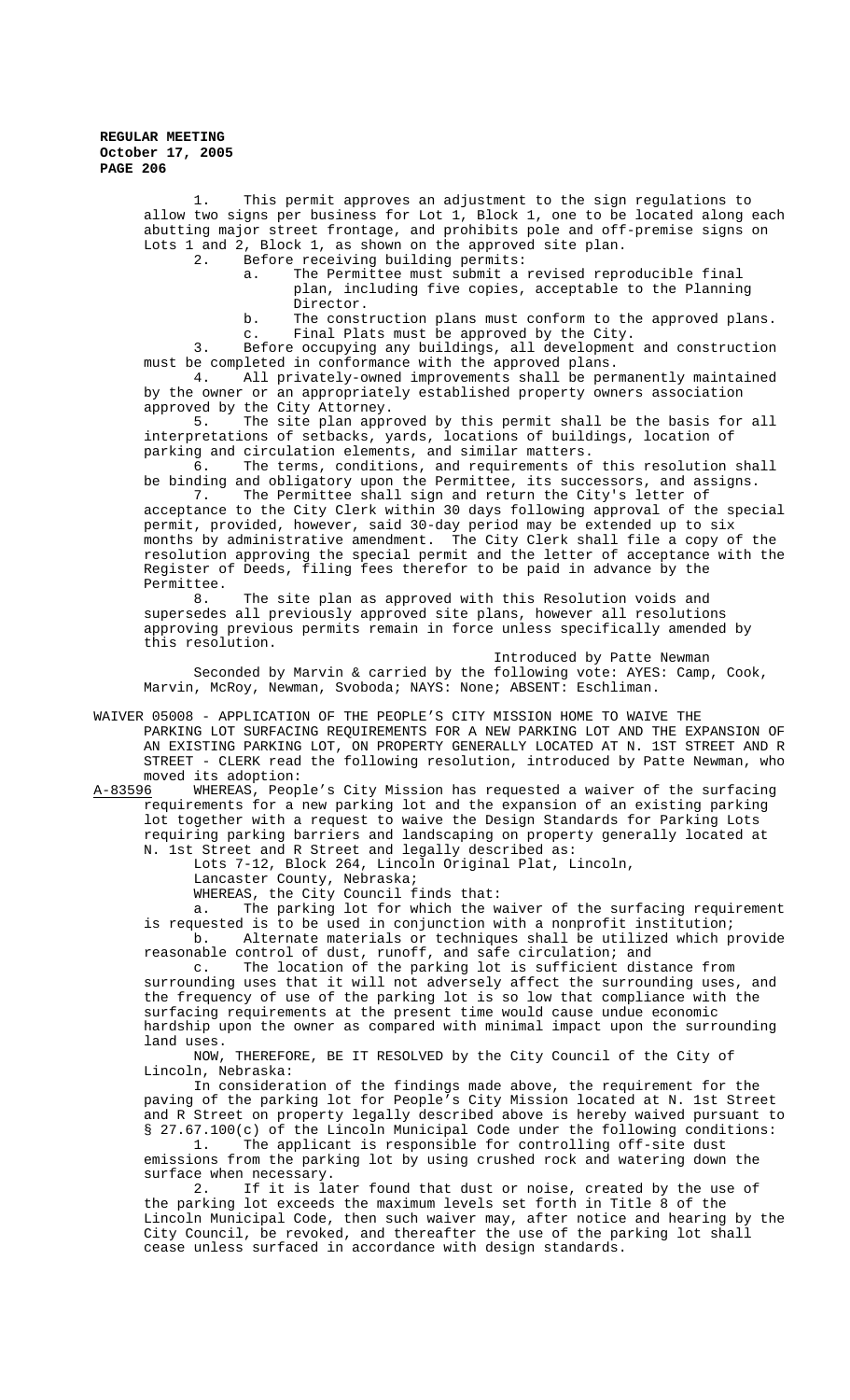> 1. This permit approves an adjustment to the sign regulations to allow two signs per business for Lot 1, Block 1, one to be located along each abutting major street frontage, and prohibits pole and off-premise signs on Lots 1 and 2, Block 1, as shown on the approved site plan.

2. Before receiving building permits:

a. The Permittee must submit a revised reproducible final plan, including five copies, acceptable to the Planning Director.

b. The construction plans must conform to the approved plans. c. Final Plats must be approved by the City.

3. Before occupying any buildings, all development and construction must be completed in conformance with the approved plans.

4. All privately-owned improvements shall be permanently maintained by the owner or an appropriately established property owners association approved by the City Attorney.<br> $\frac{5}{100}$  The site plan approximate

The site plan approved by this permit shall be the basis for all interpretations of setbacks, yards, locations of buildings, location of parking and circulation elements, and similar matters.

The terms, conditions, and requirements of this resolution shall be binding and obligatory upon the Permittee, its successors, and assigns.<br>7. The Permittee shall sign and return the City's letter of

The Permittee shall sign and return the City's letter of acceptance to the City Clerk within 30 days following approval of the special permit, provided, however, said 30-day period may be extended up to six months by administrative amendment. The City Clerk shall file a copy of the resolution approving the special permit and the letter of acceptance with the Register of Deeds, filing fees therefor to be paid in advance by the Permittee.

8. The site plan as approved with this Resolution voids and supersedes all previously approved site plans, however all resolutions approving previous permits remain in force unless specifically amended by this resolution.

Introduced by Patte Newman Seconded by Marvin & carried by the following vote: AYES: Camp, Cook, Marvin, McRoy, Newman, Svoboda; NAYS: None; ABSENT: Eschliman.

WAIVER 05008 - APPLICATION OF THE PEOPLE'S CITY MISSION HOME TO WAIVE THE PARKING LOT SURFACING REQUIREMENTS FOR A NEW PARKING LOT AND THE EXPANSION OF AN EXISTING PARKING LOT, ON PROPERTY GENERALLY LOCATED AT N. 1ST STREET AND R STREET - CLERK read the following resolution, introduced by Patte Newman, who

moved its adoption:<br>A-83596 WHEREAS, Peop WHEREAS, People's City Mission has requested a waiver of the surfacing requirements for a new parking lot and the expansion of an existing parking lot together with a request to waive the Design Standards for Parking Lots requiring parking barriers and landscaping on property generally located at N. 1st Street and R Street and legally described as:

Lots 7-12, Block 264, Lincoln Original Plat, Lincoln,

Lancaster County, Nebraska;

WHEREAS, the City Council finds that:

a. The parking lot for which the waiver of the surfacing requirement is requested is to be used in conjunction with a nonprofit institution; b. Alternate materials or techniques shall be utilized which provide

reasonable control of dust, runoff, and safe circulation; and c. The location of the parking lot is sufficient distance from

surrounding uses that it will not adversely affect the surrounding uses, and the frequency of use of the parking lot is so low that compliance with the surfacing requirements at the present time would cause undue economic hardship upon the owner as compared with minimal impact upon the surrounding land uses.

NOW, THEREFORE, BE IT RESOLVED by the City Council of the City of Lincoln, Nebraska:

In consideration of the findings made above, the requirement for the paving of the parking lot for People's City Mission located at N. 1st Street and R Street on property legally described above is hereby waived pursuant to § 27.67.100(c) of the Lincoln Municipal Code under the following conditions:<br>1. The applicant is responsible for controlling off-site dust

The applicant is responsible for controlling off-site dust emissions from the parking lot by using crushed rock and watering down the surface when necessary.<br>2. If it is la

If it is later found that dust or noise, created by the use of the parking lot exceeds the maximum levels set forth in Title 8 of the Lincoln Municipal Code, then such waiver may, after notice and hearing by the City Council, be revoked, and thereafter the use of the parking lot shall cease unless surfaced in accordance with design standards.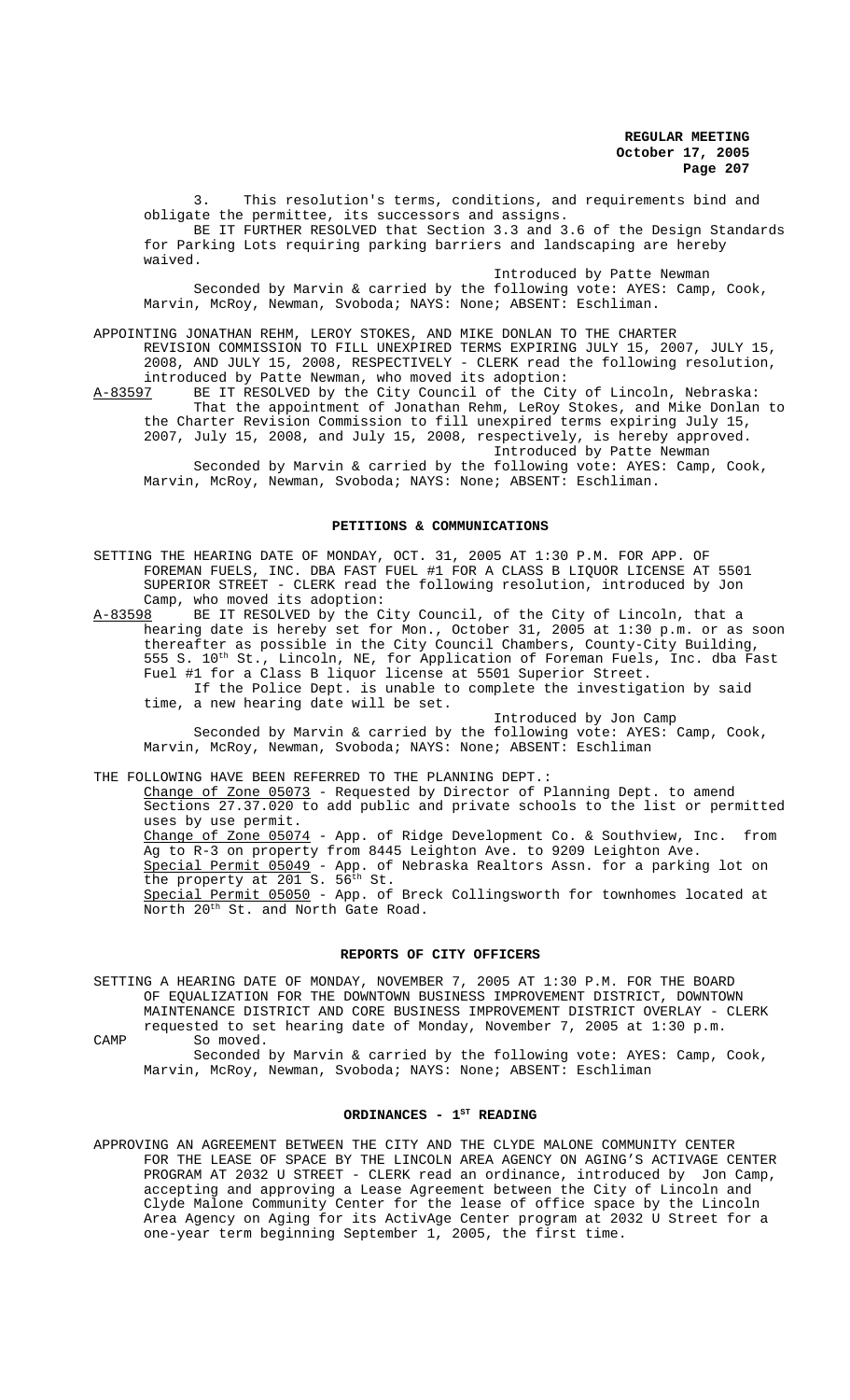3. This resolution's terms, conditions, and requirements bind and obligate the permittee, its successors and assigns. BE IT FURTHER RESOLVED that Section 3.3 and 3.6 of the Design Standards for Parking Lots requiring parking barriers and landscaping are hereby waived.

Introduced by Patte Newman Seconded by Marvin & carried by the following vote: AYES: Camp, Cook, Marvin, McRoy, Newman, Svoboda; NAYS: None; ABSENT: Eschliman.

APPOINTING JONATHAN REHM, LEROY STOKES, AND MIKE DONLAN TO THE CHARTER REVISION COMMISSION TO FILL UNEXPIRED TERMS EXPIRING JULY 15, 2007, JULY 15, 2008, AND JULY 15, 2008, RESPECTIVELY - CLERK read the following resolution, introduced by Patte Newman, who moved its adoption:<br>A-83597 BE IT RESOLVED by the City Council of the City BE IT RESOLVED by the City Council of the City of Lincoln, Nebraska: That the appointment of Jonathan Rehm, LeRoy Stokes, and Mike Donlan to

the Charter Revision Commission to fill unexpired terms expiring July 15, 2007, July 15, 2008, and July 15, 2008, respectively, is hereby approved. Introduced by Patte Newman

Seconded by Marvin & carried by the following vote: AYES: Camp, Cook, Marvin, McRoy, Newman, Svoboda; NAYS: None; ABSENT: Eschliman.

#### **PETITIONS & COMMUNICATIONS**

SETTING THE HEARING DATE OF MONDAY, OCT. 31, 2005 AT 1:30 P.M. FOR APP. OF FOREMAN FUELS, INC. DBA FAST FUEL #1 FOR A CLASS B LIQUOR LICENSE AT 5501 SUPERIOR STREET - CLERK read the following resolution, introduced by Jon Camp, who moved its adoption:<br>A-83598 BE IT RESOLVED by the C

BE IT RESOLVED by the City Council, of the City of Lincoln, that a hearing date is hereby set for Mon., October 31, 2005 at 1:30 p.m. or as soon thereafter as possible in the City Council Chambers, County-City Building, 555 S. 10<sup>th</sup> St., Lincoln, NE, for Application of Foreman Fuels, Inc. dba Fast Fuel #1 for a Class B liquor license at 5501 Superior Street. If the Police Dept. is unable to complete the investigation by said time, a new hearing date will be set.

Introduced by Jon Camp Seconded by Marvin & carried by the following vote: AYES: Camp, Cook, Marvin, McRoy, Newman, Svoboda; NAYS: None; ABSENT: Eschliman

THE FOLLOWING HAVE BEEN REFERRED TO THE PLANNING DEPT.: Change of Zone 05073 - Requested by Director of Planning Dept. to amend Sections 27.37.020 to add public and private schools to the list or permitted uses by use permit. Change of Zone 05074 - App. of Ridge Development Co. & Southview, Inc. from Ag to R-3 on property from 8445 Leighton Ave. to 9209 Leighton Ave. Special Permit 05049 - App. of Nebraska Realtors Assn. for a parking lot on the property at 201 S. 56<sup>th</sup> St. Special Permit 05050 - App. of Breck Collingsworth for townhomes located at North 20<sup>th</sup> St. and North Gate Road.

#### **REPORTS OF CITY OFFICERS**

SETTING A HEARING DATE OF MONDAY, NOVEMBER 7, 2005 AT 1:30 P.M. FOR THE BOARD OF EQUALIZATION FOR THE DOWNTOWN BUSINESS IMPROVEMENT DISTRICT, DOWNTOWN MAINTENANCE DISTRICT AND CORE BUSINESS IMPROVEMENT DISTRICT OVERLAY - CLERK requested to set hearing date of Monday, November 7, 2005 at 1:30 p.m.

CAMP So moved.

Seconded by Marvin & carried by the following vote: AYES: Camp, Cook, Marvin, McRoy, Newman, Svoboda; NAYS: None; ABSENT: Eschliman

## ORDINANCES - 1<sup>ST</sup> READING

APPROVING AN AGREEMENT BETWEEN THE CITY AND THE CLYDE MALONE COMMUNITY CENTER FOR THE LEASE OF SPACE BY THE LINCOLN AREA AGENCY ON AGING'S ACTIVAGE CENTER PROGRAM AT 2032 U STREET - CLERK read an ordinance, introduced by Jon Camp, accepting and approving a Lease Agreement between the City of Lincoln and Clyde Malone Community Center for the lease of office space by the Lincoln Area Agency on Aging for its ActivAge Center program at 2032 U Street for a one-year term beginning September 1, 2005, the first time.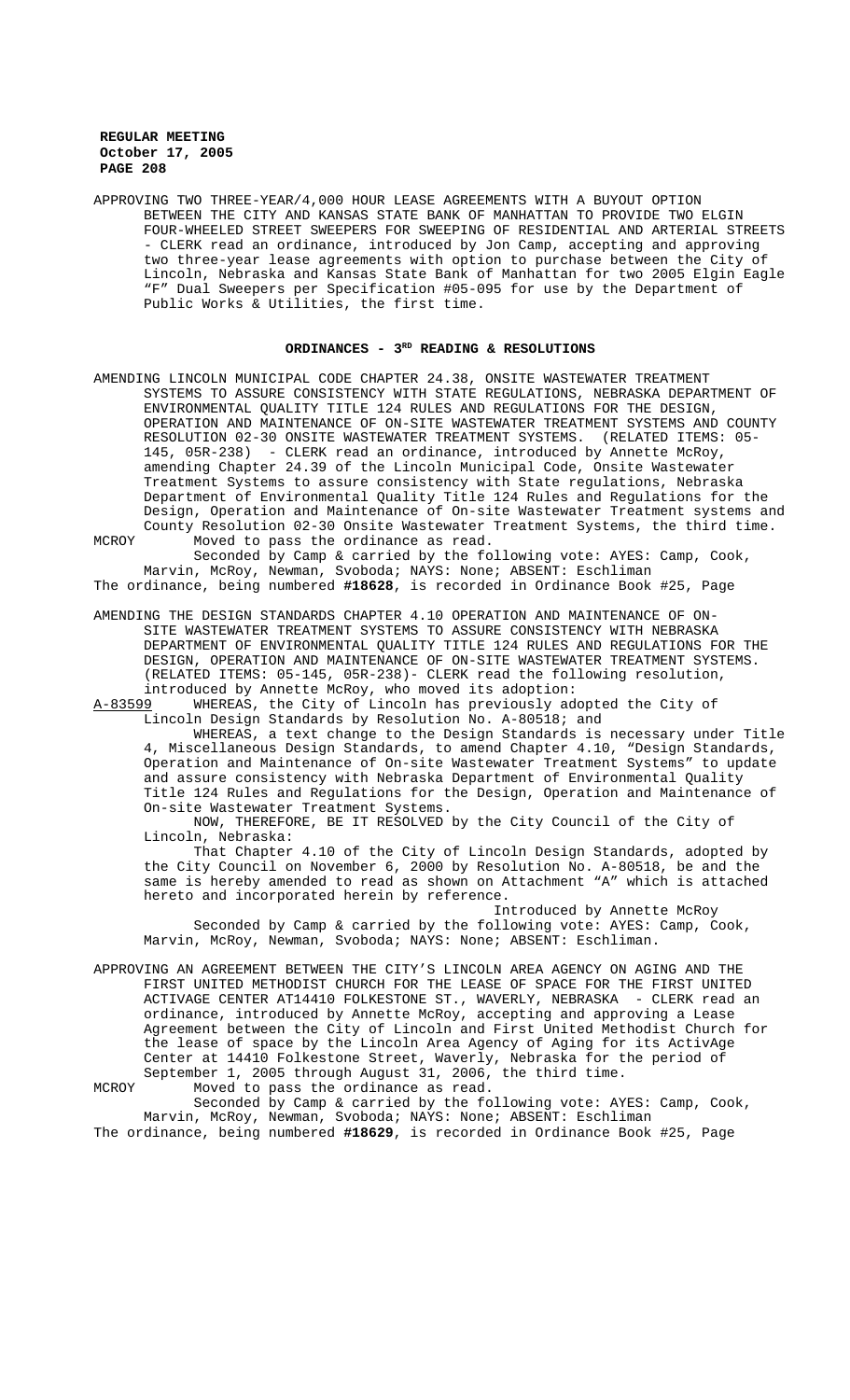APPROVING TWO THREE-YEAR/4,000 HOUR LEASE AGREEMENTS WITH A BUYOUT OPTION BETWEEN THE CITY AND KANSAS STATE BANK OF MANHATTAN TO PROVIDE TWO ELGIN FOUR-WHEELED STREET SWEEPERS FOR SWEEPING OF RESIDENTIAL AND ARTERIAL STREETS - CLERK read an ordinance, introduced by Jon Camp, accepting and approving two three-year lease agreements with option to purchase between the City of Lincoln, Nebraska and Kansas State Bank of Manhattan for two 2005 Elgin Eagle "F" Dual Sweepers per Specification #05-095 for use by the Department of Public Works & Utilities, the first time.

### **ORDINANCES - 3RD READING & RESOLUTIONS**

AMENDING LINCOLN MUNICIPAL CODE CHAPTER 24.38, ONSITE WASTEWATER TREATMENT SYSTEMS TO ASSURE CONSISTENCY WITH STATE REGULATIONS, NEBRASKA DEPARTMENT OF ENVIRONMENTAL QUALITY TITLE 124 RULES AND REGULATIONS FOR THE DESIGN, OPERATION AND MAINTENANCE OF ON-SITE WASTEWATER TREATMENT SYSTEMS AND COUNTY RESOLUTION 02-30 ONSITE WASTEWATER TREATMENT SYSTEMS. (RELATED ITEMS: 05- 145, 05R-238) - CLERK read an ordinance, introduced by Annette McRoy, amending Chapter 24.39 of the Lincoln Municipal Code, Onsite Wastewater Treatment Systems to assure consistency with State regulations, Nebraska Department of Environmental Quality Title 124 Rules and Regulations for the Design, Operation and Maintenance of On-site Wastewater Treatment systems and County Resolution 02-30 Onsite Wastewater Treatment Systems, the third time. MCROY Moved to pass the ordinance as read.

Seconded by Camp & carried by the following vote: AYES: Camp, Cook, Marvin, McRoy, Newman, Svoboda; NAYS: None; ABSENT: Eschliman The ordinance, being numbered **#18628**, is recorded in Ordinance Book #25, Page

AMENDING THE DESIGN STANDARDS CHAPTER 4.10 OPERATION AND MAINTENANCE OF ON-

SITE WASTEWATER TREATMENT SYSTEMS TO ASSURE CONSISTENCY WITH NEBRASKA DEPARTMENT OF ENVIRONMENTAL QUALITY TITLE 124 RULES AND REGULATIONS FOR THE DESIGN, OPERATION AND MAINTENANCE OF ON-SITE WASTEWATER TREATMENT SYSTEMS. (RELATED ITEMS: 05-145, 05R-238)- CLERK read the following resolution, introduced by Annette McRoy, who moved its adoption:<br>A-83599 WHEREAS, the City of Lincoln has previously ad

WHEREAS, the City of Lincoln has previously adopted the City of Lincoln Design Standards by Resolution No. A-80518; and

WHEREAS, a text change to the Design Standards is necessary under Title 4, Miscellaneous Design Standards, to amend Chapter 4.10, "Design Standards, Operation and Maintenance of On-site Wastewater Treatment Systems" to update and assure consistency with Nebraska Department of Environmental Quality Title 124 Rules and Regulations for the Design, Operation and Maintenance of On-site Wastewater Treatment Systems.

NOW, THEREFORE, BE IT RESOLVED by the City Council of the City of Lincoln, Nebraska:

That Chapter 4.10 of the City of Lincoln Design Standards, adopted by the City Council on November 6, 2000 by Resolution No. A-80518, be and the same is hereby amended to read as shown on Attachment "A" which is attached hereto and incorporated herein by reference.

Introduced by Annette McRoy Seconded by Camp & carried by the following vote: AYES: Camp, Cook, Marvin, McRoy, Newman, Svoboda; NAYS: None; ABSENT: Eschliman.

APPROVING AN AGREEMENT BETWEEN THE CITY'S LINCOLN AREA AGENCY ON AGING AND THE FIRST UNITED METHODIST CHURCH FOR THE LEASE OF SPACE FOR THE FIRST UNITED ACTIVAGE CENTER AT14410 FOLKESTONE ST., WAVERLY, NEBRASKA - CLERK read an ordinance, introduced by Annette McRoy, accepting and approving a Lease Agreement between the City of Lincoln and First United Methodist Church for the lease of space by the Lincoln Area Agency of Aging for its ActivAge Center at 14410 Folkestone Street, Waverly, Nebraska for the period of September 1, 2005 through August 31, 2006, the third time. MCROY Moved to pass the ordinance as read.

Seconded by Camp & carried by the following vote: AYES: Camp, Cook, Marvin, McRoy, Newman, Svoboda; NAYS: None; ABSENT: Eschliman The ordinance, being numbered **#18629**, is recorded in Ordinance Book #25, Page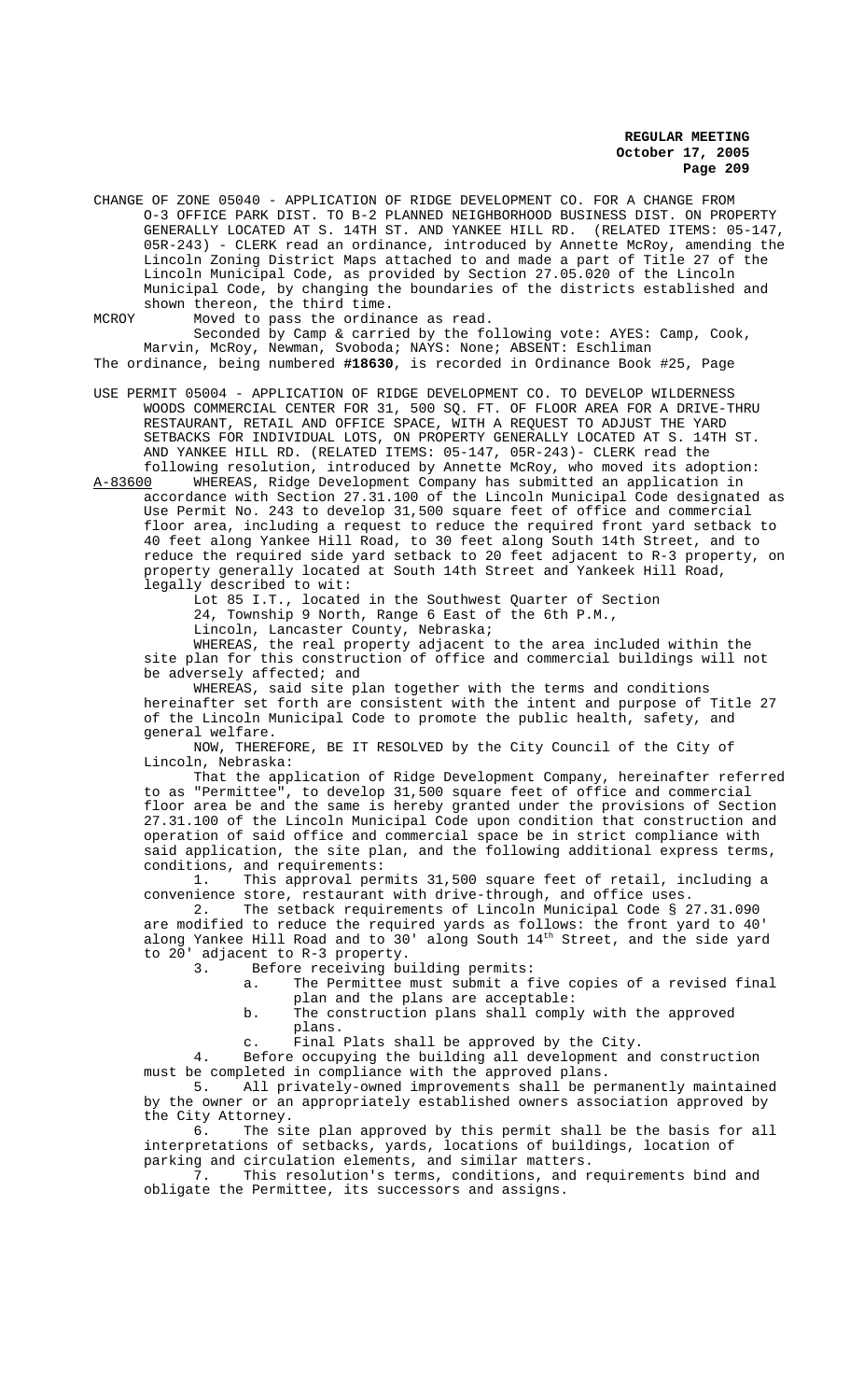CHANGE OF ZONE 05040 - APPLICATION OF RIDGE DEVELOPMENT CO. FOR A CHANGE FROM O-3 OFFICE PARK DIST. TO B-2 PLANNED NEIGHBORHOOD BUSINESS DIST. ON PROPERTY GENERALLY LOCATED AT S. 14TH ST. AND YANKEE HILL RD. (RELATED ITEMS: 05-147, 05R-243) - CLERK read an ordinance, introduced by Annette McRoy, amending the Lincoln Zoning District Maps attached to and made a part of Title 27 of the Lincoln Municipal Code, as provided by Section 27.05.020 of the Lincoln Municipal Code, by changing the boundaries of the districts established and shown thereon, the third time.

MCROY Moved to pass the ordinance as read.

Seconded by Camp & carried by the following vote: AYES: Camp, Cook, Marvin, McRoy, Newman, Svoboda; NAYS: None; ABSENT: Eschliman The ordinance, being numbered **#18630**, is recorded in Ordinance Book #25, Page

USE PERMIT 05004 - APPLICATION OF RIDGE DEVELOPMENT CO. TO DEVELOP WILDERNESS WOODS COMMERCIAL CENTER FOR 31, 500 SQ. FT. OF FLOOR AREA FOR A DRIVE-THRU RESTAURANT, RETAIL AND OFFICE SPACE, WITH A REQUEST TO ADJUST THE YARD SETBACKS FOR INDIVIDUAL LOTS, ON PROPERTY GENERALLY LOCATED AT S. 14TH ST. AND YANKEE HILL RD. (RELATED ITEMS: 05-147, 05R-243)- CLERK read the

following resolution, introduced by Annette McRoy, who moved its adoption:<br>A-83600 WHEREAS, Ridge Development Company has submitted an application in WHEREAS, Ridge Development Company has submitted an application in accordance with Section 27.31.100 of the Lincoln Municipal Code designated as Use Permit No. 243 to develop 31,500 square feet of office and commercial floor area, including a request to reduce the required front yard setback to 40 feet along Yankee Hill Road, to 30 feet along South 14th Street, and to reduce the required side yard setback to 20 feet adjacent to R-3 property, on property generally located at South 14th Street and Yankeek Hill Road, legally described to wit:

Lot 85 I.T., located in the Southwest Quarter of Section

24, Township 9 North, Range 6 East of the 6th P.M.,

Lincoln, Lancaster County, Nebraska;

WHEREAS, the real property adjacent to the area included within the site plan for this construction of office and commercial buildings will not be adversely affected; and

WHEREAS, said site plan together with the terms and conditions hereinafter set forth are consistent with the intent and purpose of Title 27 of the Lincoln Municipal Code to promote the public health, safety, and general welfare.

NOW, THEREFORE, BE IT RESOLVED by the City Council of the City of Lincoln, Nebraska:

That the application of Ridge Development Company, hereinafter referred to as "Permittee", to develop 31,500 square feet of office and commercial floor area be and the same is hereby granted under the provisions of Section 27.31.100 of the Lincoln Municipal Code upon condition that construction and operation of said office and commercial space be in strict compliance with said application, the site plan, and the following additional express terms, conditions, and requirements:<br>1. This approval per

This approval permits 31,500 square feet of retail, including a convenience store, restaurant with drive-through, and office uses.

2. The setback requirements of Lincoln Municipal Code § 27.31.090 are modified to reduce the required yards as follows: the front yard to 40' along Yankee Hill Road and to 30' along South 14th Street, and the side yard to 20' adjacent to R-3 property.<br>3 Before receiving bu

Before receiving building permits:

a. The Permittee must submit a five copies of a revised final plan and the plans are acceptable:

b. The construction plans shall comply with the approved plans.

c. Final Plats shall be approved by the City.

4. Before occupying the building all development and construction must be completed in compliance with the approved plans.

5. All privately-owned improvements shall be permanently maintained by the owner or an appropriately established owners association approved by the City Attorney.

6. The site plan approved by this permit shall be the basis for all interpretations of setbacks, yards, locations of buildings, location of parking and circulation elements, and similar matters.

7. This resolution's terms, conditions, and requirements bind and obligate the Permittee, its successors and assigns.